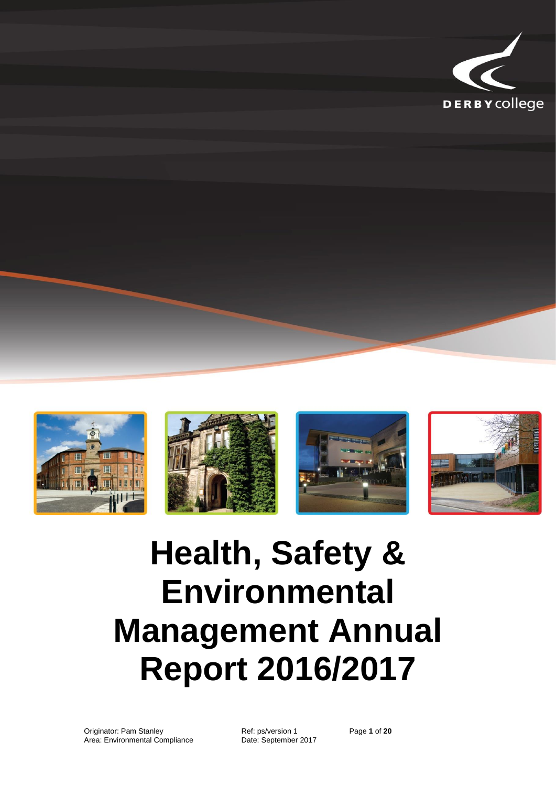

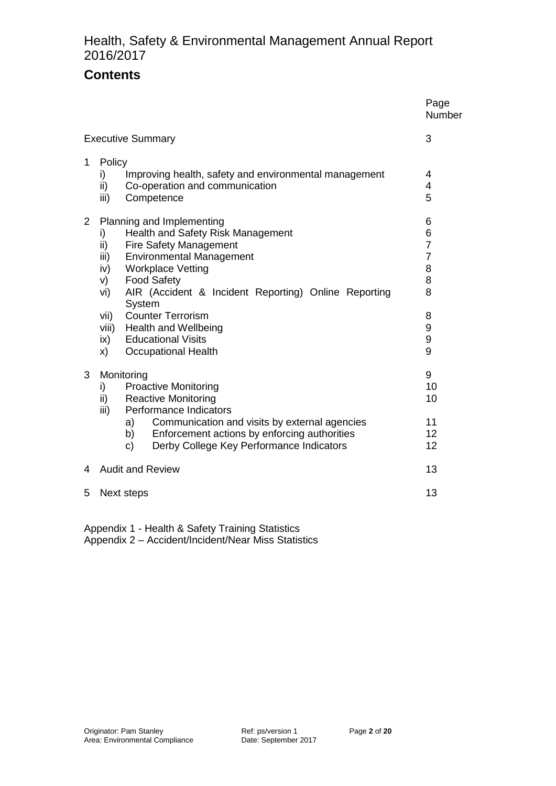## **Contents**

|                          |                                                                                                                                                                                                                                                                                                                                                                                                          | Page<br>Number                                                           |  |
|--------------------------|----------------------------------------------------------------------------------------------------------------------------------------------------------------------------------------------------------------------------------------------------------------------------------------------------------------------------------------------------------------------------------------------------------|--------------------------------------------------------------------------|--|
| <b>Executive Summary</b> |                                                                                                                                                                                                                                                                                                                                                                                                          |                                                                          |  |
| 1                        | Policy<br>i)<br>Improving health, safety and environmental management<br>ii)<br>Co-operation and communication<br>Competence<br>iii)                                                                                                                                                                                                                                                                     | 4<br>4<br>5                                                              |  |
| $\overline{2}$           | Planning and Implementing<br>Health and Safety Risk Management<br>i)<br>Fire Safety Management<br>ii)<br><b>Environmental Management</b><br>iii)<br><b>Workplace Vetting</b><br>iv)<br><b>Food Safety</b><br>V)<br>AIR (Accident & Incident Reporting) Online Reporting<br>vi)<br>System<br><b>Counter Terrorism</b><br>vii)<br>viii)<br><b>Health and Wellbeing</b><br><b>Educational Visits</b><br>ix) | 6<br>6<br>$\overline{7}$<br>$\overline{7}$<br>8<br>8<br>8<br>8<br>9<br>9 |  |
| 3                        | X)<br><b>Occupational Health</b><br>Monitoring<br><b>Proactive Monitoring</b><br>i)<br><b>Reactive Monitoring</b><br>ii)<br>Performance Indicators<br>iii)<br>Communication and visits by external agencies<br>a)<br>Enforcement actions by enforcing authorities<br>b)<br>Derby College Key Performance Indicators<br>C)                                                                                | 9<br>9<br>10<br>10<br>11<br>12<br>12                                     |  |
| 4                        | <b>Audit and Review</b>                                                                                                                                                                                                                                                                                                                                                                                  |                                                                          |  |
| 5                        | 13<br><b>Next steps</b>                                                                                                                                                                                                                                                                                                                                                                                  |                                                                          |  |
|                          |                                                                                                                                                                                                                                                                                                                                                                                                          |                                                                          |  |

Appendix 1 - Health & Safety Training Statistics Appendix 2 – Accident/Incident/Near Miss Statistics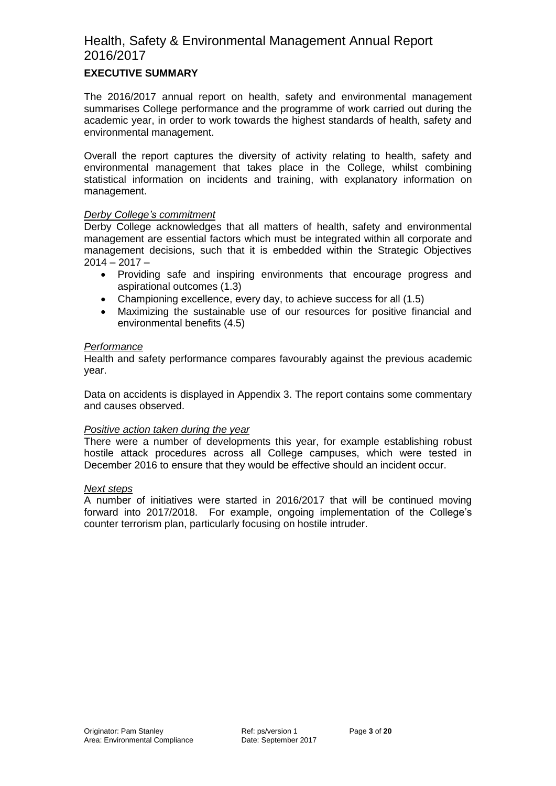#### **EXECUTIVE SUMMARY**

The 2016/2017 annual report on health, safety and environmental management summarises College performance and the programme of work carried out during the academic year, in order to work towards the highest standards of health, safety and environmental management.

Overall the report captures the diversity of activity relating to health, safety and environmental management that takes place in the College, whilst combining statistical information on incidents and training, with explanatory information on management.

#### *Derby College's commitment*

Derby College acknowledges that all matters of health, safety and environmental management are essential factors which must be integrated within all corporate and management decisions, such that it is embedded within the Strategic Objectives  $2014 - 2017 -$ 

- Providing safe and inspiring environments that encourage progress and aspirational outcomes (1.3)
- Championing excellence, every day, to achieve success for all (1.5)
- Maximizing the sustainable use of our resources for positive financial and environmental benefits (4.5)

#### *Performance*

Health and safety performance compares favourably against the previous academic year.

Data on accidents is displayed in Appendix 3. The report contains some commentary and causes observed.

#### *Positive action taken during the year*

There were a number of developments this year, for example establishing robust hostile attack procedures across all College campuses, which were tested in December 2016 to ensure that they would be effective should an incident occur.

#### *Next steps*

A number of initiatives were started in 2016/2017 that will be continued moving forward into 2017/2018. For example, ongoing implementation of the College's counter terrorism plan, particularly focusing on hostile intruder.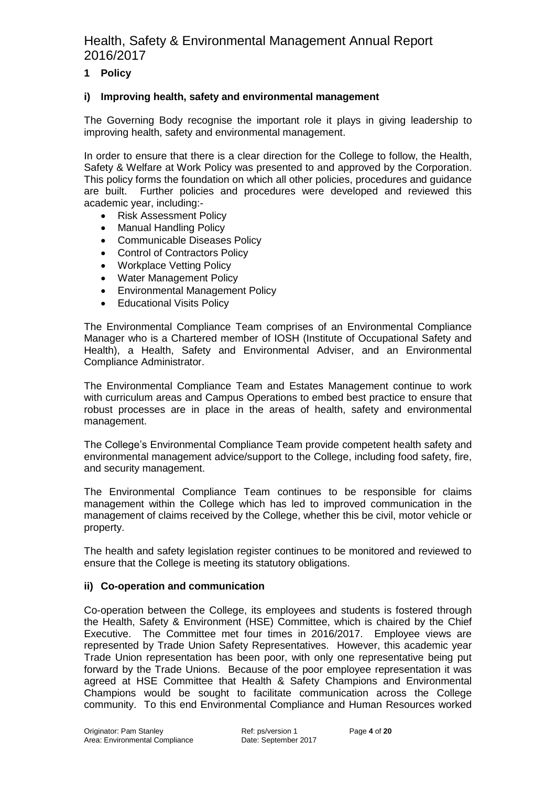#### **1 Policy**

#### **i) Improving health, safety and environmental management**

The Governing Body recognise the important role it plays in giving leadership to improving health, safety and environmental management.

In order to ensure that there is a clear direction for the College to follow, the Health, Safety & Welfare at Work Policy was presented to and approved by the Corporation. This policy forms the foundation on which all other policies, procedures and guidance are built. Further policies and procedures were developed and reviewed this academic year, including:-

- Risk Assessment Policy
- Manual Handling Policy
- Communicable Diseases Policy
- Control of Contractors Policy
- Workplace Vetting Policy
- Water Management Policy
- Environmental Management Policy
- Educational Visits Policy

The Environmental Compliance Team comprises of an Environmental Compliance Manager who is a Chartered member of IOSH (Institute of Occupational Safety and Health), a Health, Safety and Environmental Adviser, and an Environmental Compliance Administrator.

The Environmental Compliance Team and Estates Management continue to work with curriculum areas and Campus Operations to embed best practice to ensure that robust processes are in place in the areas of health, safety and environmental management.

The College's Environmental Compliance Team provide competent health safety and environmental management advice/support to the College, including food safety, fire, and security management.

The Environmental Compliance Team continues to be responsible for claims management within the College which has led to improved communication in the management of claims received by the College, whether this be civil, motor vehicle or property.

The health and safety legislation register continues to be monitored and reviewed to ensure that the College is meeting its statutory obligations.

#### **ii) Co-operation and communication**

Co-operation between the College, its employees and students is fostered through the Health, Safety & Environment (HSE) Committee, which is chaired by the Chief Executive. The Committee met four times in 2016/2017. Employee views are represented by Trade Union Safety Representatives. However, this academic year Trade Union representation has been poor, with only one representative being put forward by the Trade Unions. Because of the poor employee representation it was agreed at HSE Committee that Health & Safety Champions and Environmental Champions would be sought to facilitate communication across the College community. To this end Environmental Compliance and Human Resources worked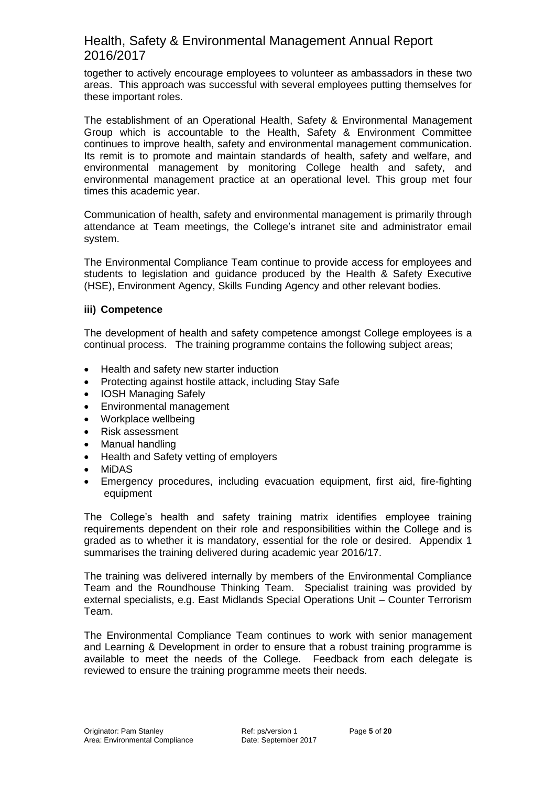together to actively encourage employees to volunteer as ambassadors in these two areas. This approach was successful with several employees putting themselves for these important roles.

The establishment of an Operational Health, Safety & Environmental Management Group which is accountable to the Health, Safety & Environment Committee continues to improve health, safety and environmental management communication. Its remit is to promote and maintain standards of health, safety and welfare, and environmental management by monitoring College health and safety, and environmental management practice at an operational level. This group met four times this academic year.

Communication of health, safety and environmental management is primarily through attendance at Team meetings, the College's intranet site and administrator email system.

The Environmental Compliance Team continue to provide access for employees and students to legislation and guidance produced by the Health & Safety Executive (HSE), Environment Agency, Skills Funding Agency and other relevant bodies.

#### **iii) Competence**

The development of health and safety competence amongst College employees is a continual process. The training programme contains the following subject areas;

- Health and safety new starter induction
- Protecting against hostile attack, including Stay Safe
- IOSH Managing Safely
- Environmental management
- Workplace wellbeing
- Risk assessment
- Manual handling
- Health and Safety vetting of employers
- MiDAS
- Emergency procedures, including evacuation equipment, first aid, fire-fighting equipment

The College's health and safety training matrix identifies employee training requirements dependent on their role and responsibilities within the College and is graded as to whether it is mandatory, essential for the role or desired. Appendix 1 summarises the training delivered during academic year 2016/17.

The training was delivered internally by members of the Environmental Compliance Team and the Roundhouse Thinking Team. Specialist training was provided by external specialists, e.g. East Midlands Special Operations Unit – Counter Terrorism Team.

The Environmental Compliance Team continues to work with senior management and Learning & Development in order to ensure that a robust training programme is available to meet the needs of the College. Feedback from each delegate is reviewed to ensure the training programme meets their needs.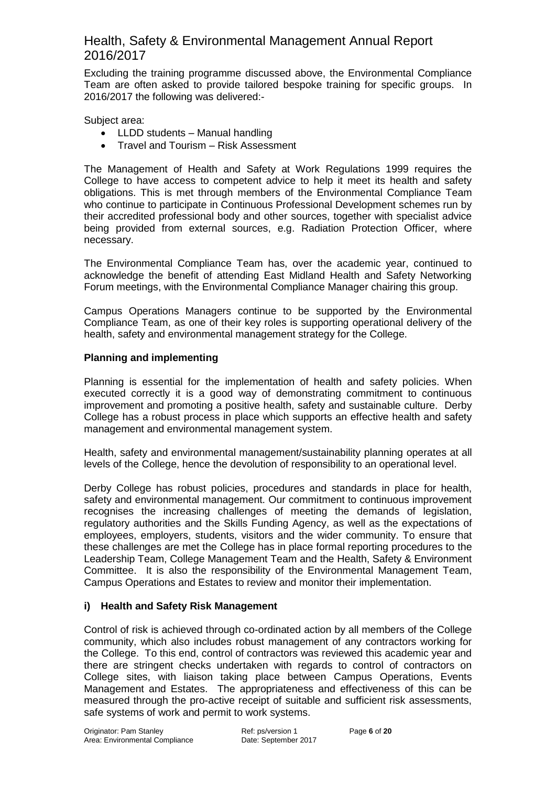Excluding the training programme discussed above, the Environmental Compliance Team are often asked to provide tailored bespoke training for specific groups. In 2016/2017 the following was delivered:-

Subject area:

- LLDD students Manual handling
- Travel and Tourism Risk Assessment

The Management of Health and Safety at Work Regulations 1999 requires the College to have access to competent advice to help it meet its health and safety obligations. This is met through members of the Environmental Compliance Team who continue to participate in Continuous Professional Development schemes run by their accredited professional body and other sources, together with specialist advice being provided from external sources, e.g. Radiation Protection Officer, where necessary.

The Environmental Compliance Team has, over the academic year, continued to acknowledge the benefit of attending East Midland Health and Safety Networking Forum meetings, with the Environmental Compliance Manager chairing this group.

Campus Operations Managers continue to be supported by the Environmental Compliance Team, as one of their key roles is supporting operational delivery of the health, safety and environmental management strategy for the College.

#### **Planning and implementing**

Planning is essential for the implementation of health and safety policies. When executed correctly it is a good way of demonstrating commitment to continuous improvement and promoting a positive health, safety and sustainable culture. Derby College has a robust process in place which supports an effective health and safety management and environmental management system.

Health, safety and environmental management/sustainability planning operates at all levels of the College, hence the devolution of responsibility to an operational level.

Derby College has robust policies, procedures and standards in place for health, safety and environmental management. Our commitment to continuous improvement recognises the increasing challenges of meeting the demands of legislation, regulatory authorities and the Skills Funding Agency, as well as the expectations of employees, employers, students, visitors and the wider community. To ensure that these challenges are met the College has in place formal reporting procedures to the Leadership Team, College Management Team and the Health, Safety & Environment Committee. It is also the responsibility of the Environmental Management Team, Campus Operations and Estates to review and monitor their implementation.

#### **i) Health and Safety Risk Management**

Control of risk is achieved through co-ordinated action by all members of the College community, which also includes robust management of any contractors working for the College. To this end, control of contractors was reviewed this academic year and there are stringent checks undertaken with regards to control of contractors on College sites, with liaison taking place between Campus Operations, Events Management and Estates. The appropriateness and effectiveness of this can be measured through the pro-active receipt of suitable and sufficient risk assessments, safe systems of work and permit to work systems.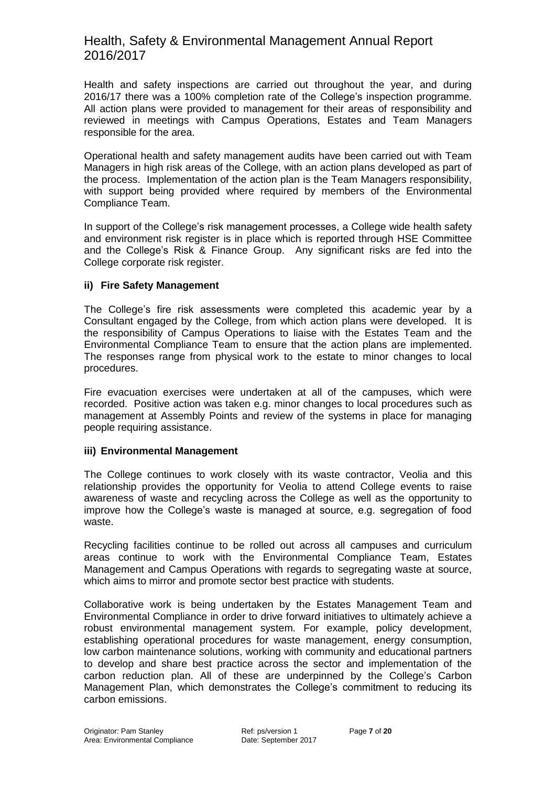Health and safety inspections are carried out throughout the year, and during 2016/17 there was a 100% completion rate of the College's inspection programme. All action plans were provided to management for their areas of responsibility and reviewed in meetings with Campus Operations, Estates and Team Managers responsible for the area.

Operational health and safety management audits have been carried out with Team Managers in high risk areas of the College, with an action plans developed as part of the process. Implementation of the action plan is the Team Managers responsibility, with support being provided where required by members of the Environmental Compliance Team.

In support of the College's risk management processes, a College wide health safety and environment risk register is in place which is reported through HSE Committee and the College's Risk & Finance Group. Any significant risks are fed into the College corporate risk register.

#### **ii) Fire Safety Management**

The College's fire risk assessments were completed this academic year by a Consultant engaged by the College, from which action plans were developed. It is the responsibility of Campus Operations to liaise with the Estates Team and the Environmental Compliance Team to ensure that the action plans are implemented. The responses range from physical work to the estate to minor changes to local procedures.

Fire evacuation exercises were undertaken at all of the campuses, which were recorded. Positive action was taken e.g. minor changes to local procedures such as management at Assembly Points and review of the systems in place for managing people requiring assistance.

#### **iii) Environmental Management**

The College continues to work closely with its waste contractor, Veolia and this relationship provides the opportunity for Veolia to attend College events to raise awareness of waste and recycling across the College as well as the opportunity to improve how the College's waste is managed at source, e.g. segregation of food waste.

Recycling facilities continue to be rolled out across all campuses and curriculum areas continue to work with the Environmental Compliance Team, Estates Management and Campus Operations with regards to segregating waste at source, which aims to mirror and promote sector best practice with students.

Collaborative work is being undertaken by the Estates Management Team and Environmental Compliance in order to drive forward initiatives to ultimately achieve a robust environmental management system. For example, policy development, establishing operational procedures for waste management, energy consumption, low carbon maintenance solutions, working with community and educational partners to develop and share best practice across the sector and implementation of the carbon reduction plan. All of these are underpinned by the College's Carbon Management Plan, which demonstrates the College's commitment to reducing its carbon emissions.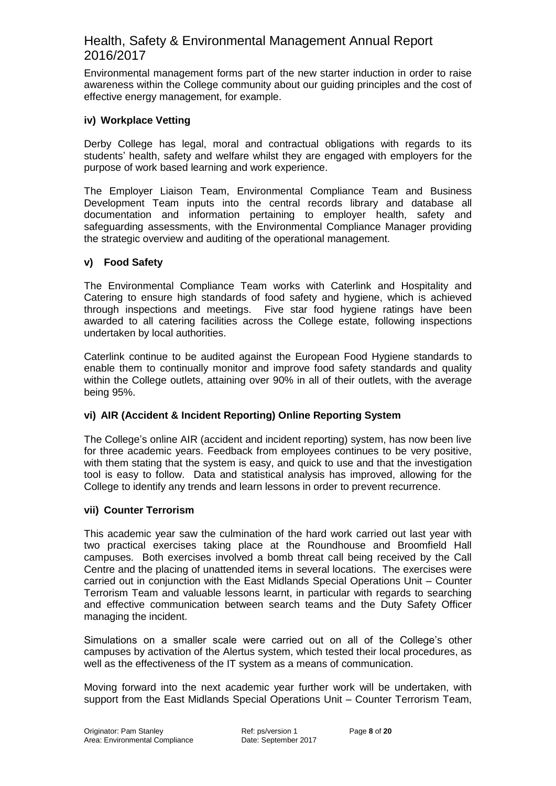Environmental management forms part of the new starter induction in order to raise awareness within the College community about our guiding principles and the cost of effective energy management, for example.

#### **iv) Workplace Vetting**

Derby College has legal, moral and contractual obligations with regards to its students' health, safety and welfare whilst they are engaged with employers for the purpose of work based learning and work experience.

The Employer Liaison Team, Environmental Compliance Team and Business Development Team inputs into the central records library and database all documentation and information pertaining to employer health, safety and safeguarding assessments, with the Environmental Compliance Manager providing the strategic overview and auditing of the operational management.

#### **v) Food Safety**

The Environmental Compliance Team works with Caterlink and Hospitality and Catering to ensure high standards of food safety and hygiene, which is achieved through inspections and meetings. Five star food hygiene ratings have been awarded to all catering facilities across the College estate, following inspections undertaken by local authorities.

Caterlink continue to be audited against the European Food Hygiene standards to enable them to continually monitor and improve food safety standards and quality within the College outlets, attaining over 90% in all of their outlets, with the average being 95%.

#### **vi) AIR (Accident & Incident Reporting) Online Reporting System**

The College's online AIR (accident and incident reporting) system, has now been live for three academic years. Feedback from employees continues to be very positive, with them stating that the system is easy, and quick to use and that the investigation tool is easy to follow. Data and statistical analysis has improved, allowing for the College to identify any trends and learn lessons in order to prevent recurrence.

#### **vii) Counter Terrorism**

This academic year saw the culmination of the hard work carried out last year with two practical exercises taking place at the Roundhouse and Broomfield Hall campuses. Both exercises involved a bomb threat call being received by the Call Centre and the placing of unattended items in several locations. The exercises were carried out in conjunction with the East Midlands Special Operations Unit – Counter Terrorism Team and valuable lessons learnt, in particular with regards to searching and effective communication between search teams and the Duty Safety Officer managing the incident.

Simulations on a smaller scale were carried out on all of the College's other campuses by activation of the Alertus system, which tested their local procedures, as well as the effectiveness of the IT system as a means of communication.

Moving forward into the next academic year further work will be undertaken, with support from the East Midlands Special Operations Unit – Counter Terrorism Team,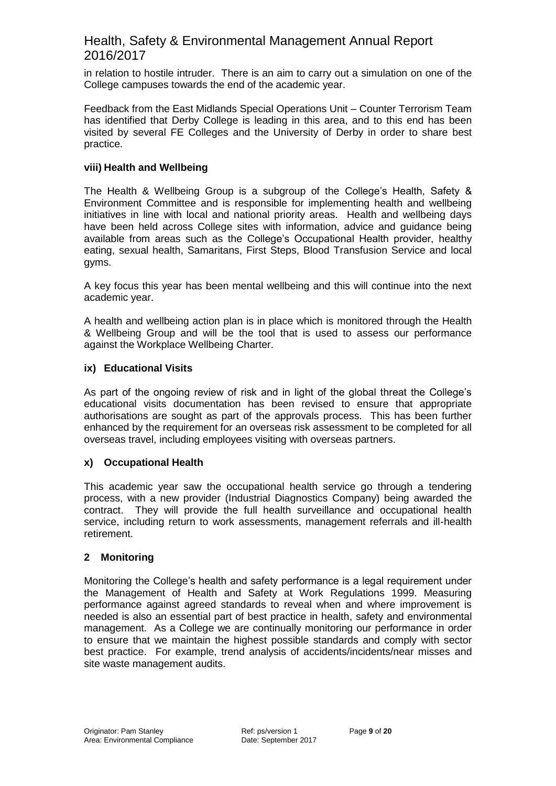in relation to hostile intruder. There is an aim to carry out a simulation on one of the College campuses towards the end of the academic year.

Feedback from the East Midlands Special Operations Unit – Counter Terrorism Team has identified that Derby College is leading in this area, and to this end has been visited by several FE Colleges and the University of Derby in order to share best practice.

#### **viii) Health and Wellbeing**

The Health & Wellbeing Group is a subgroup of the College's Health, Safety & Environment Committee and is responsible for implementing health and wellbeing initiatives in line with local and national priority areas. Health and wellbeing days have been held across College sites with information, advice and guidance being available from areas such as the College's Occupational Health provider, healthy eating, sexual health, Samaritans, First Steps, Blood Transfusion Service and local gyms.

A key focus this year has been mental wellbeing and this will continue into the next academic year.

A health and wellbeing action plan is in place which is monitored through the Health & Wellbeing Group and will be the tool that is used to assess our performance against the Workplace Wellbeing Charter.

#### **ix) Educational Visits**

As part of the ongoing review of risk and in light of the global threat the College's educational visits documentation has been revised to ensure that appropriate authorisations are sought as part of the approvals process. This has been further enhanced by the requirement for an overseas risk assessment to be completed for all overseas travel, including employees visiting with overseas partners.

#### **x) Occupational Health**

This academic year saw the occupational health service go through a tendering process, with a new provider (Industrial Diagnostics Company) being awarded the contract. They will provide the full health surveillance and occupational health service, including return to work assessments, management referrals and ill-health retirement.

#### **2 Monitoring**

Monitoring the College's health and safety performance is a legal requirement under the Management of Health and Safety at Work Regulations 1999. Measuring performance against agreed standards to reveal when and where improvement is needed is also an essential part of best practice in health, safety and environmental management. As a College we are continually monitoring our performance in order to ensure that we maintain the highest possible standards and comply with sector best practice. For example, trend analysis of accidents/incidents/near misses and site waste management audits.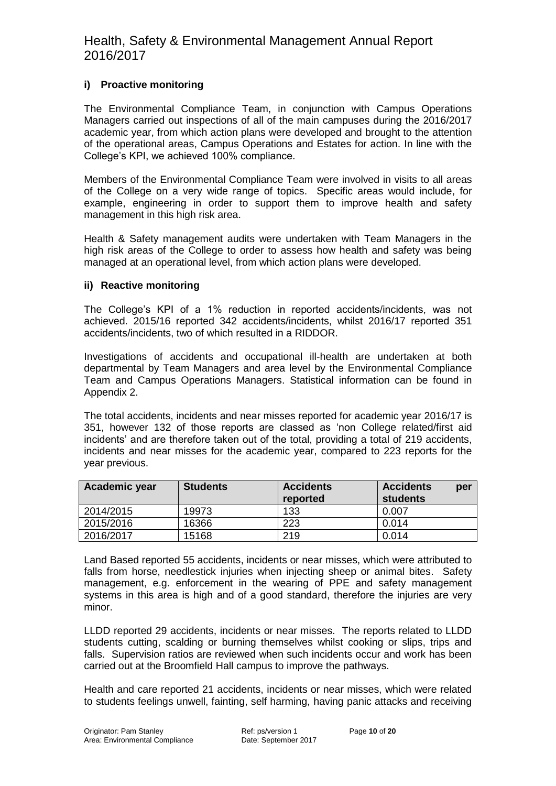#### **i) Proactive monitoring**

The Environmental Compliance Team, in conjunction with Campus Operations Managers carried out inspections of all of the main campuses during the 2016/2017 academic year, from which action plans were developed and brought to the attention of the operational areas, Campus Operations and Estates for action. In line with the College's KPI, we achieved 100% compliance.

Members of the Environmental Compliance Team were involved in visits to all areas of the College on a very wide range of topics. Specific areas would include, for example, engineering in order to support them to improve health and safety management in this high risk area.

Health & Safety management audits were undertaken with Team Managers in the high risk areas of the College to order to assess how health and safety was being managed at an operational level, from which action plans were developed.

#### **ii) Reactive monitoring**

The College's KPI of a 1% reduction in reported accidents/incidents, was not achieved. 2015/16 reported 342 accidents/incidents, whilst 2016/17 reported 351 accidents/incidents, two of which resulted in a RIDDOR.

Investigations of accidents and occupational ill-health are undertaken at both departmental by Team Managers and area level by the Environmental Compliance Team and Campus Operations Managers. Statistical information can be found in Appendix 2.

The total accidents, incidents and near misses reported for academic year 2016/17 is 351, however 132 of those reports are classed as 'non College related/first aid incidents' and are therefore taken out of the total, providing a total of 219 accidents, incidents and near misses for the academic year, compared to 223 reports for the year previous.

| <b>Academic year</b> | <b>Students</b> | <b>Accidents</b><br>reported | <b>Accidents</b><br>per<br>students |
|----------------------|-----------------|------------------------------|-------------------------------------|
| 2014/2015            | 19973           | 133                          | 0.007                               |
| 2015/2016            | 16366           | 223                          | 0.014                               |
| 2016/2017            | 15168           | 219                          | 0.014                               |

Land Based reported 55 accidents, incidents or near misses, which were attributed to falls from horse, needlestick injuries when injecting sheep or animal bites. Safety management, e.g. enforcement in the wearing of PPE and safety management systems in this area is high and of a good standard, therefore the injuries are very minor.

LLDD reported 29 accidents, incidents or near misses. The reports related to LLDD students cutting, scalding or burning themselves whilst cooking or slips, trips and falls. Supervision ratios are reviewed when such incidents occur and work has been carried out at the Broomfield Hall campus to improve the pathways.

Health and care reported 21 accidents, incidents or near misses, which were related to students feelings unwell, fainting, self harming, having panic attacks and receiving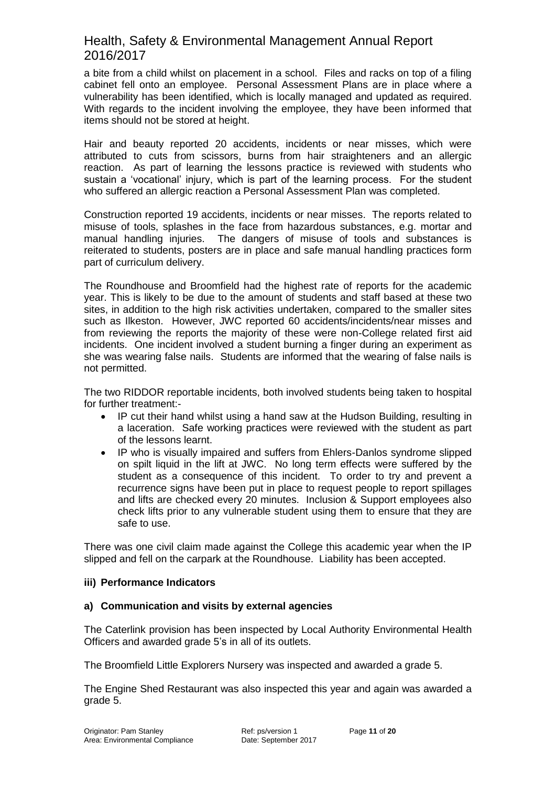a bite from a child whilst on placement in a school. Files and racks on top of a filing cabinet fell onto an employee. Personal Assessment Plans are in place where a vulnerability has been identified, which is locally managed and updated as required. With regards to the incident involving the employee, they have been informed that items should not be stored at height.

Hair and beauty reported 20 accidents, incidents or near misses, which were attributed to cuts from scissors, burns from hair straighteners and an allergic reaction. As part of learning the lessons practice is reviewed with students who sustain a 'vocational' injury, which is part of the learning process. For the student who suffered an allergic reaction a Personal Assessment Plan was completed.

Construction reported 19 accidents, incidents or near misses. The reports related to misuse of tools, splashes in the face from hazardous substances, e.g. mortar and manual handling injuries. The dangers of misuse of tools and substances is reiterated to students, posters are in place and safe manual handling practices form part of curriculum delivery.

The Roundhouse and Broomfield had the highest rate of reports for the academic year. This is likely to be due to the amount of students and staff based at these two sites, in addition to the high risk activities undertaken, compared to the smaller sites such as Ilkeston. However, JWC reported 60 accidents/incidents/near misses and from reviewing the reports the majority of these were non-College related first aid incidents. One incident involved a student burning a finger during an experiment as she was wearing false nails. Students are informed that the wearing of false nails is not permitted.

The two RIDDOR reportable incidents, both involved students being taken to hospital for further treatment:-

- IP cut their hand whilst using a hand saw at the Hudson Building, resulting in a laceration. Safe working practices were reviewed with the student as part of the lessons learnt.
- IP who is visually impaired and suffers from Ehlers-Danlos syndrome slipped on spilt liquid in the lift at JWC. No long term effects were suffered by the student as a consequence of this incident. To order to try and prevent a recurrence signs have been put in place to request people to report spillages and lifts are checked every 20 minutes. Inclusion & Support employees also check lifts prior to any vulnerable student using them to ensure that they are safe to use.

There was one civil claim made against the College this academic year when the IP slipped and fell on the carpark at the Roundhouse. Liability has been accepted.

#### **iii) Performance Indicators**

#### **a) Communication and visits by external agencies**

The Caterlink provision has been inspected by Local Authority Environmental Health Officers and awarded grade 5's in all of its outlets.

The Broomfield Little Explorers Nursery was inspected and awarded a grade 5.

The Engine Shed Restaurant was also inspected this year and again was awarded a grade 5.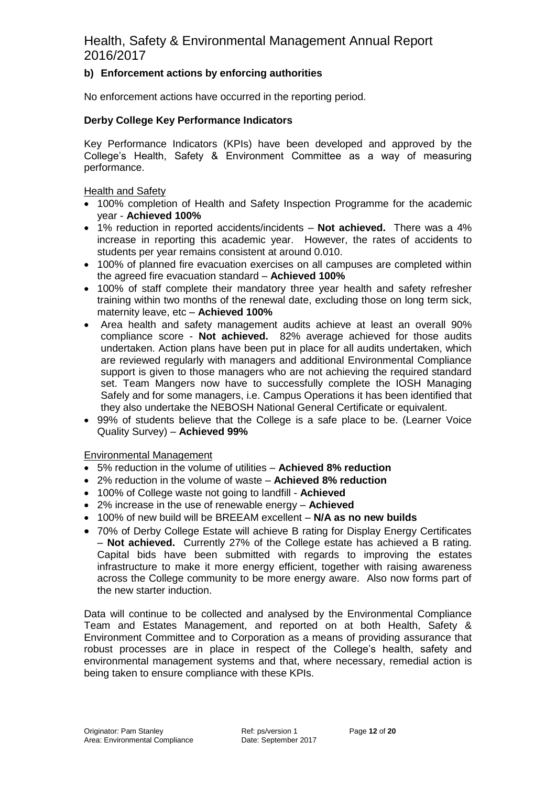#### **b) Enforcement actions by enforcing authorities**

No enforcement actions have occurred in the reporting period.

#### **Derby College Key Performance Indicators**

Key Performance Indicators (KPIs) have been developed and approved by the College's Health, Safety & Environment Committee as a way of measuring performance.

#### Health and Safety

- 100% completion of Health and Safety Inspection Programme for the academic year - **Achieved 100%**
- 1% reduction in reported accidents/incidents **Not achieved.** There was a 4% increase in reporting this academic year. However, the rates of accidents to students per year remains consistent at around 0.010.
- 100% of planned fire evacuation exercises on all campuses are completed within the agreed fire evacuation standard – **Achieved 100%**
- 100% of staff complete their mandatory three year health and safety refresher training within two months of the renewal date, excluding those on long term sick, maternity leave, etc – **Achieved 100%**
- Area health and safety management audits achieve at least an overall 90% compliance score - **Not achieved.** 82% average achieved for those audits undertaken. Action plans have been put in place for all audits undertaken, which are reviewed regularly with managers and additional Environmental Compliance support is given to those managers who are not achieving the required standard set. Team Mangers now have to successfully complete the IOSH Managing Safely and for some managers, i.e. Campus Operations it has been identified that they also undertake the NEBOSH National General Certificate or equivalent.
- 99% of students believe that the College is a safe place to be. (Learner Voice Quality Survey) – **Achieved 99%**

#### Environmental Management

- 5% reduction in the volume of utilities **Achieved 8% reduction**
- 2% reduction in the volume of waste **Achieved 8% reduction**
- 100% of College waste not going to landfill **Achieved**
- 2% increase in the use of renewable energy **Achieved**
- 100% of new build will be BREEAM excellent **N/A as no new builds**
- 70% of Derby College Estate will achieve B rating for Display Energy Certificates – **Not achieved.** Currently 27% of the College estate has achieved a B rating. Capital bids have been submitted with regards to improving the estates infrastructure to make it more energy efficient, together with raising awareness across the College community to be more energy aware. Also now forms part of the new starter induction.

Data will continue to be collected and analysed by the Environmental Compliance Team and Estates Management, and reported on at both Health, Safety & Environment Committee and to Corporation as a means of providing assurance that robust processes are in place in respect of the College's health, safety and environmental management systems and that, where necessary, remedial action is being taken to ensure compliance with these KPIs.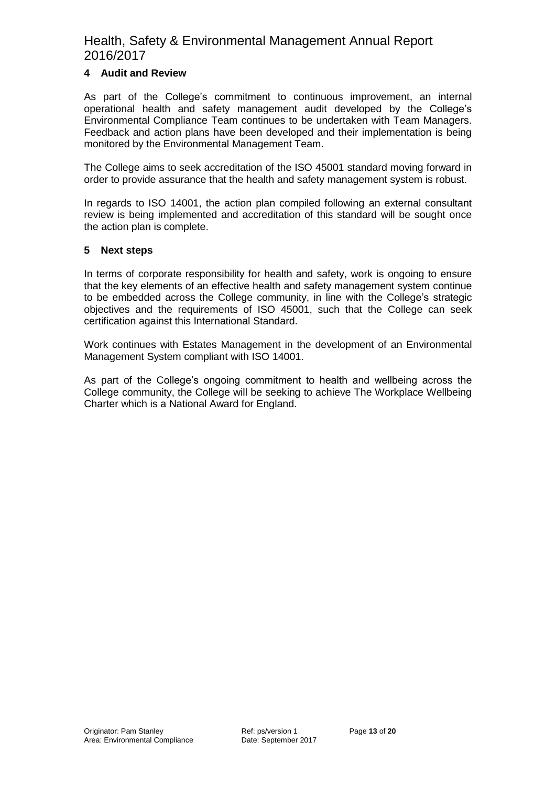#### **4 Audit and Review**

As part of the College's commitment to continuous improvement, an internal operational health and safety management audit developed by the College's Environmental Compliance Team continues to be undertaken with Team Managers. Feedback and action plans have been developed and their implementation is being monitored by the Environmental Management Team.

The College aims to seek accreditation of the ISO 45001 standard moving forward in order to provide assurance that the health and safety management system is robust.

In regards to ISO 14001, the action plan compiled following an external consultant review is being implemented and accreditation of this standard will be sought once the action plan is complete.

#### **5 Next steps**

In terms of corporate responsibility for health and safety, work is ongoing to ensure that the key elements of an effective health and safety management system continue to be embedded across the College community, in line with the College's strategic objectives and the requirements of ISO 45001, such that the College can seek certification against this International Standard.

Work continues with Estates Management in the development of an Environmental Management System compliant with ISO 14001.

As part of the College's ongoing commitment to health and wellbeing across the College community, the College will be seeking to achieve The Workplace Wellbeing Charter which is a National Award for England.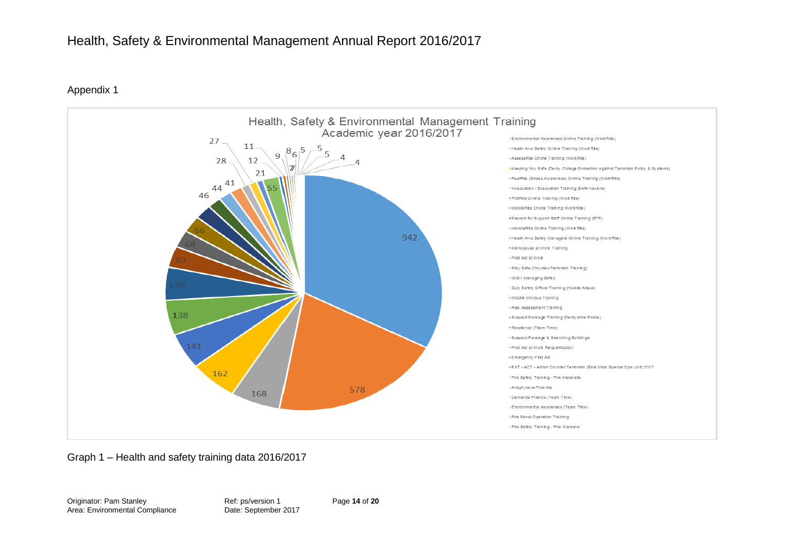

#### Appendix 1

Graph 1 – Health and safety training data 2016/2017

Originator: Pam Stanley Ref: ps/version 1 Page **14** of **20** Area: Environmental Compliance Date: September 2017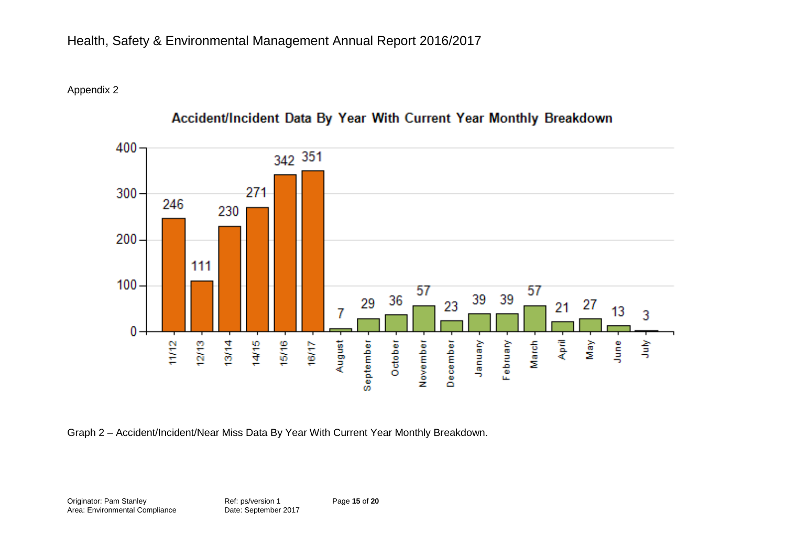Appendix 2



# Accident/Incident Data By Year With Current Year Monthly Breakdown

Graph 2 – Accident/Incident/Near Miss Data By Year With Current Year Monthly Breakdown.

Originator: Pam Stanley Ref: ps/version 1 Page **15** of **20** Area: Environmental Compliance Date: September 2017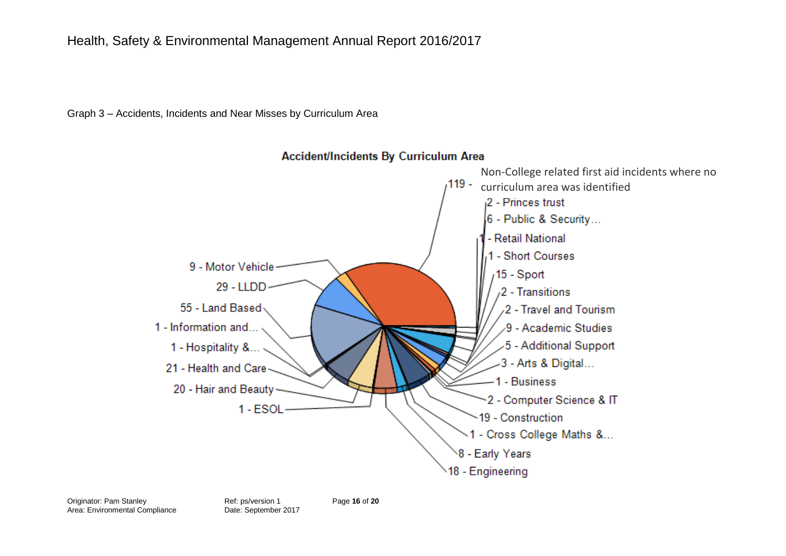



Accident/Incidents By Curriculum Area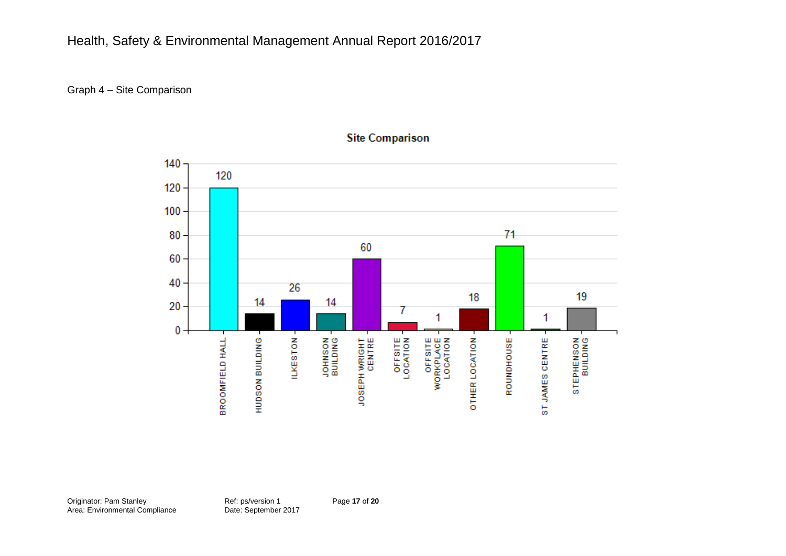Graph 4 – Site Comparison



### **Site Comparison**

Originator: Pam Stanley Ref: ps/version 1 Page **17** of **20** Area: Environmental Compliance **Date: September 2017**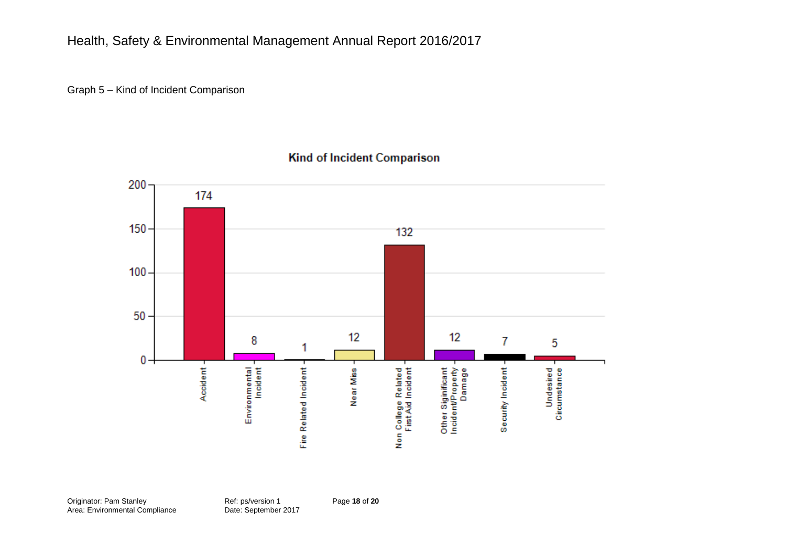Graph 5 – Kind of Incident Comparison

## **Kind of Incident Comparison**



Originator: Pam Stanley Ref: ps/version 1 Page **18** of **20** Area: Environmental Compliance **Date: September 2017**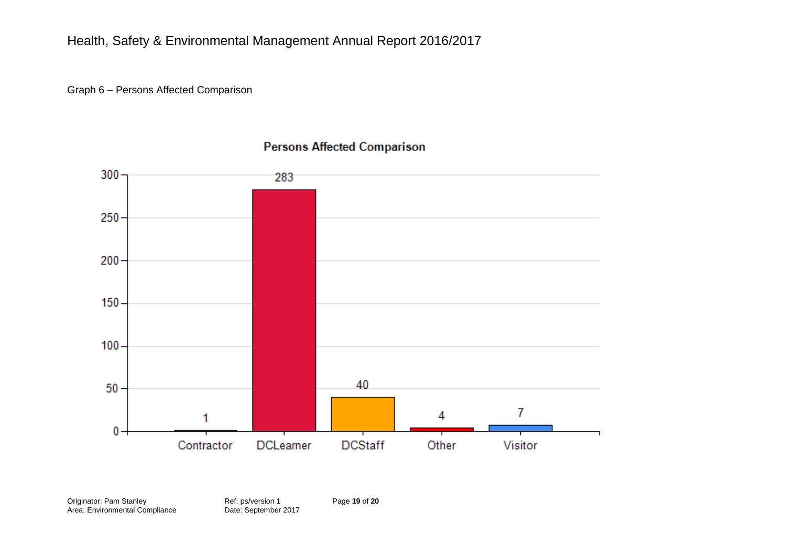Graph 6 – Persons Affected Comparison



## **Persons Affected Comparison**

Originator: Pam Stanley Ref: ps/version 1 Page **19** of **20** Area: Environmental Compliance **Date: September 2017**